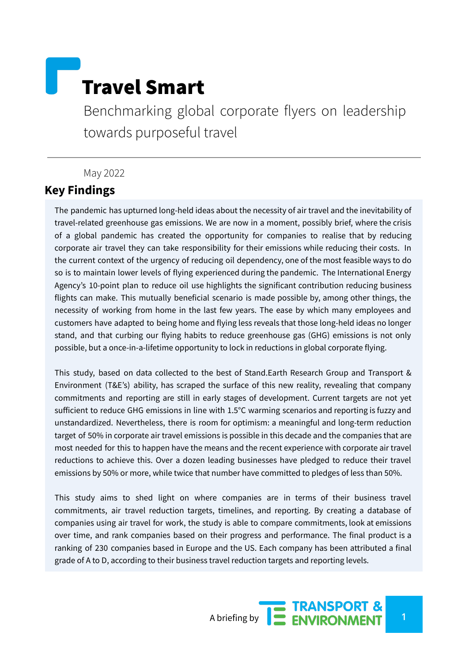# Travel Smart

Benchmarking global corporate flyers on leadership towards purposeful travel

## May 2022

# **Key Findings**

The pandemic has upturned long-held ideas about the necessity of air travel and the inevitability of travel-related greenhouse gas emissions. We are now in a moment, possibly brief, where the crisis of a global pandemic has created the opportunity for companies to realise that by reducing corporate air travel they can take responsibility for their emissions while reducing their costs. In the current context of the urgency of reducing oil dependency, one of the most feasible ways to do so is to maintain lower levels of flying experienced during the pandemic. The International Energy Agency's 10-point plan to reduce oil use highlights the significant contribution reducing business flights can make. This mutually beneficial scenario is made possible by, among other things, the necessity of working from home in the last few years. The ease by which many employees and customers have adapted to being home and flying less reveals that those long-held ideas no longer stand, and that curbing our flying habits to reduce greenhouse gas (GHG) emissions is not only possible, but a once-in-a-lifetime opportunity to lock in reductions in global corporate flying.

This study, based on data collected to the best of Stand.Earth Research Group and Transport & Environment (T&E's) ability, has scraped the surface of this new reality, revealing that company commitments and reporting are still in early stages of development. Current targets are not yet sufficient to reduce GHG emissions in line with 1.5°C warming scenarios and reporting is fuzzy and unstandardized. Nevertheless, there is room for optimism: a meaningful and long-term reduction target of 50% in corporate air travel emissions is possible in this decade and the companies that are most needed for this to happen have the means and the recent experience with corporate air travel reductions to achieve this. Over a dozen leading businesses have pledged to reduce their travel emissions by 50% or more, while twice that number have committed to pledges of less than 50%.

This study aims to shed light on where companies are in terms of their business travel commitments, air travel reduction targets, timelines, and reporting. By creating a database of companies using air travel for work, the study is able to compare commitments, look at emissions over time, and rank companies based on their progress and performance. The final product is a ranking of 230 companies based in Europe and the US. Each company has been attributed a final grade of A to D, according to their business travel reduction targets and reporting levels.

A briefing by **12 ENVIRONMENT**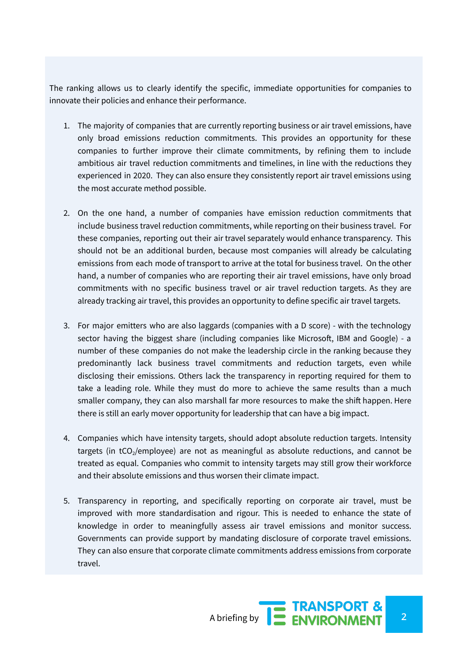The ranking allows us to clearly identify the specific, immediate opportunities for companies to innovate their policies and enhance their performance.

- 1. The majority of companies that are currently reporting business or air travel emissions, have only broad emissions reduction commitments. This provides an opportunity for these companies to further improve their climate commitments, by refining them to include ambitious air travel reduction commitments and timelines, in line with the reductions they experienced in 2020. They can also ensure they consistently report air travel emissions using the most accurate method possible.
- 2. On the one hand, a number of companies have emission reduction commitments that include business travel reduction commitments, while reporting on their business travel. For these companies, reporting out their air travel separately would enhance transparency. This should not be an additional burden, because most companies will already be calculating emissions from each mode of transport to arrive at the total for business travel. On the other hand, a number of companies who are reporting their air travel emissions, have only broad commitments with no specific business travel or air travel reduction targets. As they are already tracking air travel, this provides an opportunity to define specific air travel targets.
- 3. For major emitters who are also laggards (companies with a D score) with the technology sector having the biggest share (including companies like Microsoft, IBM and Google) - a number of these companies do not make the leadership circle in the ranking because they predominantly lack business travel commitments and reduction targets, even while disclosing their emissions. Others lack the transparency in reporting required for them to take a leading role. While they must do more to achieve the same results than a much smaller company, they can also marshall far more resources to make the shift happen. Here there is still an early mover opportunity for leadership that can have a big impact.
- 4. Companies which have intensity targets, should adopt absolute reduction targets. Intensity targets (in  $tCO<sub>2</sub>/employee$ ) are not as meaningful as absolute reductions, and cannot be treated as equal. Companies who commit to intensity targets may still grow their workforce and their absolute emissions and thus worsen their climate impact.
- 5. Transparency in reporting, and specifically reporting on corporate air travel, must be improved with more standardisation and rigour. This is needed to enhance the state of knowledge in order to meaningfully assess air travel emissions and monitor success. Governments can provide support by mandating disclosure of corporate travel emissions. They can also ensure that corporate climate commitments address emissions from corporate travel.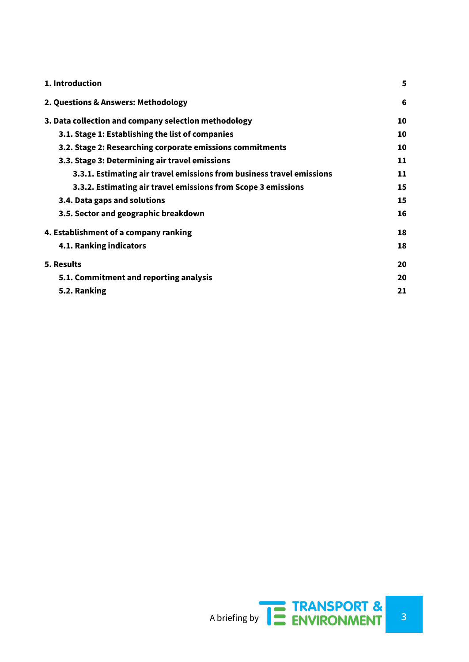| 1. Introduction                                                       | 5  |
|-----------------------------------------------------------------------|----|
| 2. Questions & Answers: Methodology                                   | 6  |
| 3. Data collection and company selection methodology                  | 10 |
| 3.1. Stage 1: Establishing the list of companies                      | 10 |
| 3.2. Stage 2: Researching corporate emissions commitments             | 10 |
| 3.3. Stage 3: Determining air travel emissions                        | 11 |
| 3.3.1. Estimating air travel emissions from business travel emissions | 11 |
| 3.3.2. Estimating air travel emissions from Scope 3 emissions         | 15 |
| 3.4. Data gaps and solutions                                          | 15 |
| 3.5. Sector and geographic breakdown                                  | 16 |
| 4. Establishment of a company ranking                                 | 18 |
| 4.1. Ranking indicators                                               | 18 |
| 5. Results                                                            | 20 |
| 5.1. Commitment and reporting analysis                                | 20 |
| 5.2. Ranking                                                          | 21 |

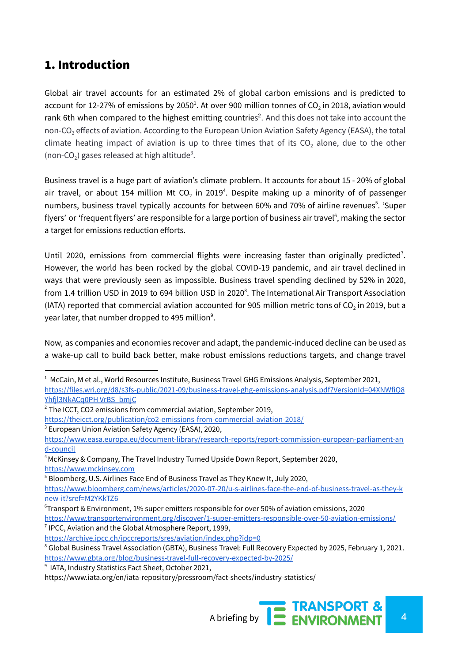# <span id="page-3-0"></span>1. Introduction

Global air travel accounts for an estimated 2% of global carbon emissions and is predicted to account for 12-27% of emissions by 2050 $^1$ . At over 900 [million](https://eur02.safelinks.protection.outlook.com/?url=https%3A%2F%2Ftheicct.org%2Fpublications%2Fco2-emissions-commercial-aviation-2018&data=04%7C01%7Ckbond%40carbontracker.org%7C96a8e08d6a9c4abe7c6f08d8f9b49e52%7C83fb6e27d59f4764af9da71326706a34%7C0%7C0%7C637533902170067032%7CUnknown%7CTWFpbGZsb3d8eyJWIjoiMC4wLjAwMDAiLCJQIjoiV2luMzIiLCJBTiI6Ik1haWwiLCJXVCI6Mn0%3D%7C1000&sdata=cc4IqVN7xaKMBIMCvsR1htlLTC0nMxsg%2FYKKX8zw7uQ%3D&reserved=0) tonnes of CO $_2$  in 2018, aviation would rank 6th when compared to the highest emitting countries<sup>2</sup>. And this does not take into account the non-CO<sub>2</sub> effects of aviation. According to the European Union Aviation Safety Agency (EASA), the total climate heating impact of aviation is up to three times that of its  $CO<sub>2</sub>$  alone, due to the other (non-CO<sub>2</sub>) gases released at high altitude<sup>3</sup>.

Business travel is a huge part of aviation's climate problem. It accounts for about 15 - 20% of global air travel, or about 154 million Mt CO<sub>2</sub> in 2019<sup>4</sup>. Despite making up a minority of of passenger numbers, business travel typically accounts for between 60% and 70% of airline revenues<sup>5</sup>. 'Super flyers' or 'frequent flyers' are responsible for a large portion of business air travel<sup>6</sup>, making the sector a target for emissions reduction efforts.

Until 2020, emissions from commercial flights were increasing faster than originally predicted<sup>7</sup>. However, the world has been rocked by the global COVID-19 pandemic, and air travel declined in ways that were previously seen as impossible. Business travel spending declined by 52% in 2020, from 1.4 trillion USD in 2019 to 694 billion USD in 2020<sup>8</sup>. The International Air Transport Association (IATA) reported that commercial aviation accounted for 905 million metric tons of CO<sub>2</sub> in 2019, but a year later, that number dropped to 495 million $^{\circ}$ .

Now, as companies and economies recover and adapt, the pandemic-induced decline can be used as a wake-up call to build back better, make robust emissions reductions targets, and change travel

- $2$  The ICCT, CO2 emissions from commercial aviation, September 2019,
- <https://theicct.org/publication/co2-emissions-from-commercial-aviation-2018/>
- <sup>3</sup> European Union Aviation Safety Agency (EASA), 2020,

 $6$ Transport & Environment, 1% super emitters responsible for over 50% of aviation emissions, 2020 <https://www.transportenvironment.org/discover/1-super-emitters-responsible-over-50-aviation-emissions/>

 $7$  IPCC, Aviation and the Global Atmosphere Report, 1999,

<https://www.iata.org/en/iata-repository/pressroom/fact-sheets/industry-statistics/>



<sup>&</sup>lt;sup>1</sup> McCain, M et al., World Resources Institute, Business Travel GHG Emissions Analysis, September 2021, [https://files.wri.org/d8/s3fs-public/2021-09/business-travel-ghg-emissions-analysis.pdf?VersionId=04XNWfiQ8](https://files.wri.org/d8/s3fs-public/2021-09/business-travel-ghg-emissions-analysis.pdf?VersionId=04XNWfiQ8Yhfjl3NkACq0PH) [Yhfjl3NkACq0PH](https://files.wri.org/d8/s3fs-public/2021-09/business-travel-ghg-emissions-analysis.pdf?VersionId=04XNWfiQ8Yhfjl3NkACq0PH) VrBS\_bmjC

[https://www.easa.europa.eu/document-library/research-reports/report-commission-european-parliament-an](https://www.easa.europa.eu/document-library/research-reports/report-commission-european-parliament-and-council) [d-council](https://www.easa.europa.eu/document-library/research-reports/report-commission-european-parliament-and-council)

<sup>&</sup>lt;sup>4</sup> McKinsey & Company, The Travel Industry Turned Upside Down Report, September 2020, <https://www.mckinsey.com>

<sup>5</sup> Bloomberg, U.S. Airlines Face End of Business Travel as They Knew It, July 2020, [https://www.bloomberg.com/news/articles/2020-07-20/u-s-airlines-face-the-end-of-business-travel-as-they-k](https://www.bloomberg.com/news/articles/2020-07-20/u-s-airlines-face-the-end-of-business-travel-as-they-knew-it?sref=M2YKkTZ6) [new-it?sref=M2YKkTZ6](https://www.bloomberg.com/news/articles/2020-07-20/u-s-airlines-face-the-end-of-business-travel-as-they-knew-it?sref=M2YKkTZ6)

<https://archive.ipcc.ch/ipccreports/sres/aviation/index.php?idp=0>

<sup>&</sup>lt;sup>8</sup> Global Business Travel Association (GBTA), Business Travel: Full Recovery Expected by 2025, February 1, 2021. <https://www.gbta.org/blog/business-travel-full-recovery-expected-by-2025/>

<sup>9</sup> IATA, Industry Statistics Fact Sheet, October 2021,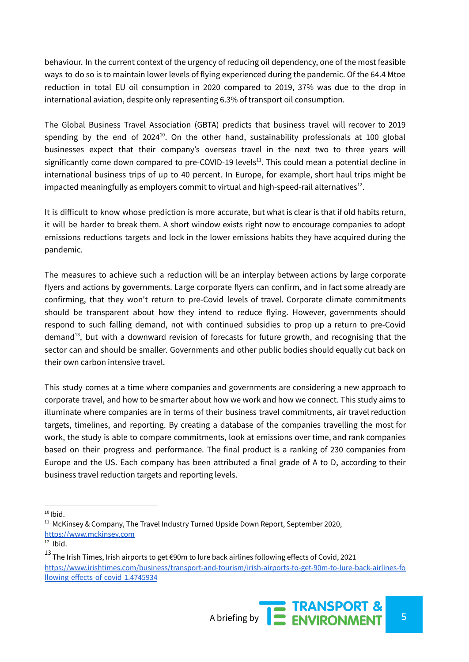behaviour. In the current context of the urgency of reducing oil dependency, one of the most feasible ways to do so is to maintain lower levels of flying experienced during the pandemic. Of the 64.4 Mtoe reduction in total EU oil consumption in 2020 compared to 2019, 37% was due to the drop in international aviation, despite only representing 6.3% of transport oil consumption.

The Global Business Travel Association (GBTA) predicts that business travel will recover to 2019 spending by the end of 2024<sup>10</sup>. On the other hand, sustainability professionals at 100 global businesses expect that their company's overseas travel in the next two to three years will significantly come down compared to pre-COVID-19 levels<sup>11</sup>. This could mean a potential decline in international business trips of up to 40 percent. In Europe, for example, short haul trips might be impacted meaningfully as employers commit to virtual and high-speed-rail alternatives $^{\text{12}}$ .

It is difficult to know whose prediction is more accurate, but what is clear is that if old habits return, it will be harder to break them. A short window exists right now to encourage companies to adopt emissions reductions targets and lock in the lower emissions habits they have acquired during the pandemic.

The measures to achieve such a reduction will be an interplay between actions by large corporate flyers and actions by governments. Large corporate flyers can confirm, and in fact some already are confirming, that they won't return to pre-Covid levels of travel. Corporate climate commitments should be transparent about how they intend to reduce flying. However, governments should respond to such falling demand, not with continued subsidies to prop up a return to pre-Covid demand<sup>13</sup>, but with a downward revision of forecasts for future growth, and recognising that the sector can and should be smaller. Governments and other public bodies should equally cut back on their own carbon intensive travel.

This study comes at a time where companies and governments are considering a new approach to corporate travel, and how to be smarter about how we work and how we connect. This study aims to illuminate where companies are in terms of their business travel commitments, air travel reduction targets, timelines, and reporting. By creating a database of the companies travelling the most for work, the study is able to compare commitments, look at emissions over time, and rank companies based on their progress and performance. The final product is a ranking of 230 companies from Europe and the US. Each company has been attributed a final grade of A to D, according to their business travel reduction targets and reporting levels.

 $10$  Ibid.

 $11$  McKinsey & Company, The Travel Industry Turned Upside Down Report, September 2020, <https://www.mckinsey.com>

 $12$  lbid.

 $^{13}$  The Irish Times, Irish airports to get €90m to lure back airlines following effects of Covid, 2021 [https://www.irishtimes.com/business/transport-and-tourism/irish-airports-to-get-90m-to-lure-back-airlines-fo](https://www.irishtimes.com/business/transport-and-tourism/irish-airports-to-get-90m-to-lure-back-airlines-following-effects-of-covid-1.4745934) [llowing-effects-of-covid-1.4745934](https://www.irishtimes.com/business/transport-and-tourism/irish-airports-to-get-90m-to-lure-back-airlines-following-effects-of-covid-1.4745934)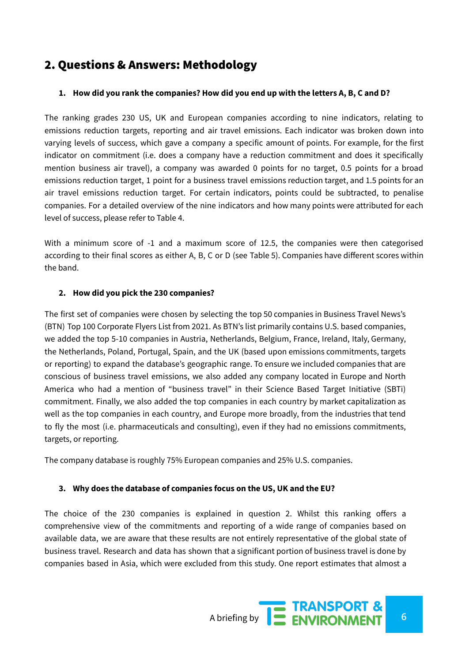# <span id="page-5-0"></span>2. Questions & Answers: Methodology

#### 1. How did you rank the companies? How did you end up with the letters A, B, C and D?

The ranking grades 230 US, UK and European companies according to nine indicators, relating to emissions reduction targets, reporting and air travel emissions. Each indicator was broken down into varying levels of success, which gave a company a specific amount of points. For example, for the first indicator on commitment (i.e. does a company have a reduction commitment and does it specifically mention business air travel), a company was awarded 0 points for no target, 0.5 points for a broad emissions reduction target, 1 point for a business travel emissions reduction target, and 1.5 points for an air travel emissions reduction target. For certain indicators, points could be subtracted, to penalise companies. For a detailed overview of the nine indicators and how many points were attributed for each level of success, please refer to Table 4.

With a minimum score of -1 and a maximum score of 12.5, the companies were then categorised according to their final scores as either A, B, C or D (see Table 5). Companies have different scores within the band.

#### **2. How did you pick the 230 companies?**

The first set of companies were chosen by selecting the top 50 companies in Business Travel News's (BTN) Top 100 Corporate Flyers List from 2021. As BTN's list primarily contains U.S. based companies, we added the top 5-10 companies in Austria, Netherlands, Belgium, France, Ireland, Italy, Germany, the Netherlands, Poland, Portugal, Spain, and the UK (based upon emissions commitments, targets or reporting) to expand the database's geographic range. To ensure we included companies that are conscious of business travel emissions, we also added any company located in Europe and North America who had a mention of "business travel" in their Science Based Target Initiative (SBTi) commitment. Finally, we also added the top companies in each country by market capitalization as well as the top companies in each country, and Europe more broadly, from the industries that tend to fly the most (i.e. pharmaceuticals and consulting), even if they had no emissions commitments, targets, or reporting.

The company database is roughly 75% European companies and 25% U.S. companies.

#### **3. Why does the database of companies focus on the US, UK and the EU?**

The choice of the 230 companies is explained in question 2. Whilst this ranking offers a comprehensive view of the commitments and reporting of a wide range of companies based on available data, we are aware that these results are not entirely representative of the global state of business travel. Research and data has shown that a significant portion of business travel is done by companies based in Asia, which were excluded from this study. One report estimates that almost a

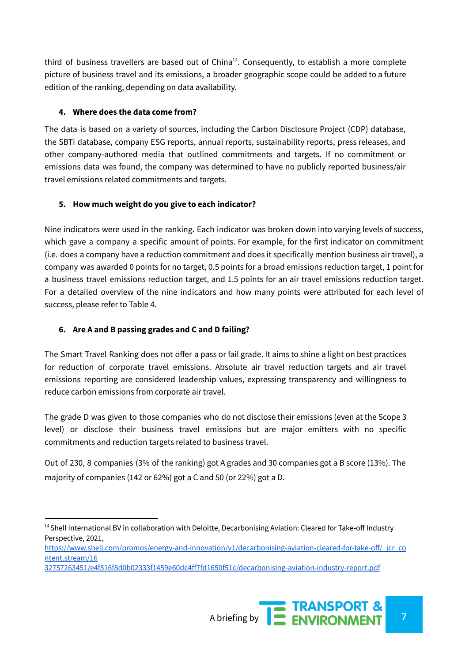third of business travellers are based out of China<sup>14</sup>. Consequently, to establish a more complete picture of business travel and its emissions, a broader geographic scope could be added to a future edition of the ranking, depending on data availability.

#### **4. Where does the data come from?**

The data is based on a variety of sources, including the Carbon Disclosure Project (CDP) database, the SBTi database, company ESG reports, annual reports, sustainability reports, press releases, and other company-authored media that outlined commitments and targets. If no commitment or emissions data was found, the company was determined to have no publicly reported business/air travel emissions related commitments and targets.

#### **5. How much weight do you give to each indicator?**

Nine indicators were used in the ranking. Each indicator was broken down into varying levels of success, which gave a company a specific amount of points. For example, for the first indicator on commitment (i.e. does a company have a reduction commitment and does it specifically mention business air travel), a company was awarded 0 points for no target, 0.5 points for a broad emissions reduction target, 1 point for a business travel emissions reduction target, and 1.5 points for an air travel emissions reduction target. For a detailed overview of the nine indicators and how many points were attributed for each level of success, please refer to Table 4.

## **6. Are A and B passing grades and C and D failing?**

The Smart Travel Ranking does not offer a pass or fail grade. It aims to shine a light on best practices for reduction of corporate travel emissions. Absolute air travel reduction targets and air travel emissions reporting are considered leadership values, expressing transparency and willingness to reduce carbon emissions from corporate air travel.

The grade D was given to those companies who do not disclose their emissions (even at the Scope 3 level) or disclose their business travel emissions but are major emitters with no specific commitments and reduction targets related to business travel.

Out of 230, 8 companies (3% of the ranking) got A grades and 30 companies got a B score (13%). The majority of companies (142 or 62%) got a C and 50 (or 22%) got a D.

<sup>&</sup>lt;sup>14</sup> Shell International BV in collaboration with Deloitte, Decarbonising Aviation: Cleared for Take-off Industry Perspective, 2021,

[https://www.shell.com/promos/energy-and-innovation/v1/decarbonising-aviation-cleared-for-take-off/\\_jcr\\_co](https://www.shell.com/promos/energy-and-innovation/v1/decarbonising-aviation-cleared-for-take-off/_jcr_content.stream/16) [ntent.stream/16](https://www.shell.com/promos/energy-and-innovation/v1/decarbonising-aviation-cleared-for-take-off/_jcr_content.stream/16)

[<sup>32757263451/</sup>e4f516f8d0b02333f1459e60dc4ff7fd1650f51c/decarbonising-aviation-industry-report.pdf](https://www.shell.com/promos/energy-and-innovation/v1/decarbonising-aviation-cleared-for-take-off/_jcr_content.stream/16)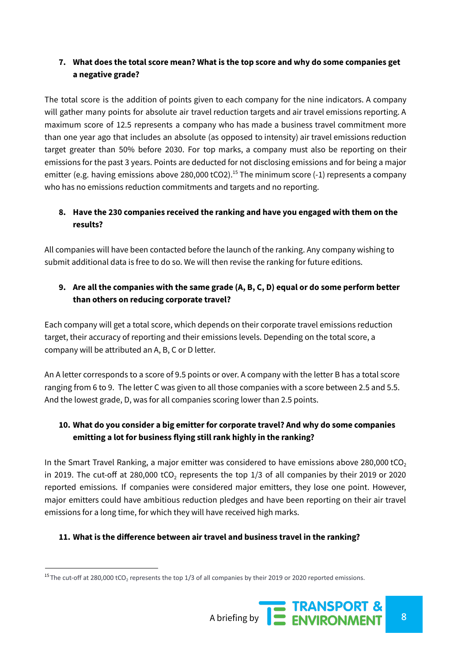## **7. What does the total score mean? What is the top score and why do some companies get a negative grade?**

The total score is the addition of points given to each company for the nine indicators. A company will gather many points for absolute air travel reduction targets and air travel emissions reporting. A maximum score of 12.5 represents a company who has made a business travel commitment more than one year ago that includes an absolute (as opposed to intensity) air travel emissions reduction target greater than 50% before 2030. For top marks, a company must also be reporting on their emissions for the past 3 years. Points are deducted for not disclosing emissions and for being a major emitter (e.g. having emissions above 280,000 tCO2).<sup>15</sup> The minimum score (-1) represents a company who has no emissions reduction commitments and targets and no reporting.

## **8. Have the 230 companies received the ranking and have you engaged with them on the results?**

All companies will have been contacted before the launch of the ranking. Any company wishing to submit additional data is free to do so. We will then revise the ranking for future editions.

## **9. Are all the companies with the same grade (A, B, C, D) equal or do some perform better than others on reducing corporate travel?**

Each company will get a total score, which depends on their corporate travel emissions reduction target, their accuracy of reporting and their emissions levels. Depending on the total score, a company will be attributed an A, B, C or D letter.

An A letter corresponds to a score of 9.5 points or over. A company with the letter B has a total score ranging from 6 to 9. The letter C was given to all those companies with a score between 2.5 and 5.5. And the lowest grade, D, was for all companies scoring lower than 2.5 points.

## **10. What do you consider a big emitter for corporate travel? And why do some companies emitting a lot for business flying still rank highly in the ranking?**

In the Smart Travel Ranking, a major emitter was considered to have emissions above 280,000 tCO<sub>2</sub> in 2019. The cut-off at 280,000 tCO<sub>2</sub> represents the top 1/3 of all companies by their 2019 or 2020 reported emissions. If companies were considered major emitters, they lose one point. However, major emitters could have ambitious reduction pledges and have been reporting on their air travel emissions for a long time, for which they will have received high marks.

#### **11. What is the difference between air travel and business travel in the ranking?**

<sup>&</sup>lt;sup>15</sup> The cut-off at 280,000 tCO<sub>2</sub> represents the top 1/3 of all companies by their 2019 or 2020 reported emissions.

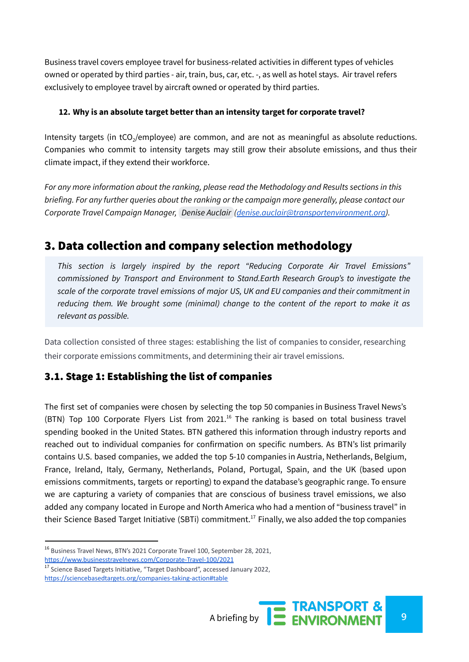Business travel covers employee travel for business-related activities in different types of vehicles owned or operated by third parties - air, train, bus, car, etc. -, as well as hotel stays. Air travel refers exclusively to employee travel by aircraft owned or operated by third parties.

#### **12. Why is an absolute target better than an intensity target for corporate travel?**

Intensity targets (in tCO<sub>2</sub>/employee) are common, and are not as meaningful as absolute reductions. Companies who commit to intensity targets may still grow their absolute emissions, and thus their climate impact, if they extend their workforce.

*For any more information about the ranking, please read the Methodology and Results sections in this briefing. For any further queries about the ranking or the campaign more generally, please contact our Corporate Travel Campaign Manager, Denise [Auclair](mailto:denise.auclair@transportenvironment.org) ([denise.auclair@transportenvironment.org](mailto:denise.auclair@transportenvironment.org)).*

# <span id="page-8-0"></span>3. Data collection and company selection methodology

*This section is largely inspired by the report "Reducing Corporate Air Travel Emissions" commissioned by Transport and Environment to Stand.Earth Research Group's to investigate the scale of the corporate travel emissions of major US, UK and EU companies and their commitment in reducing them. We brought some (minimal) change to the content of the report to make it as relevant as possible.*

Data collection consisted of three stages: establishing the list of companies to consider, researching their corporate emissions commitments, and determining their air travel emissions.

## <span id="page-8-1"></span>3.1. Stage 1: Establishing the list of companies

The first set of companies were chosen by selecting the top 50 companies in Business Travel News's (BTN) Top 100 Corporate Flyers List from 2021.<sup>16</sup> The ranking is based on total business travel spending booked in the United States. BTN gathered this information through industry reports and reached out to individual companies for confirmation on specific numbers. As BTN's list primarily contains U.S. based companies, we added the top 5-10 companies in Austria, Netherlands, Belgium, France, Ireland, Italy, Germany, Netherlands, Poland, Portugal, Spain, and the UK (based upon emissions commitments, targets or reporting) to expand the database's geographic range. To ensure we are capturing a variety of companies that are conscious of business travel emissions, we also added any company located in Europe and North America who had a mention of "business travel" in their Science Based Target Initiative (SBTi) commitment.<sup>17</sup> Finally, we also added the top companies

<sup>16</sup> Business Travel News, BTN's 2021 Corporate Travel 100, September 28, 2021, <https://www.businesstravelnews.com/Corporate-Travel-100/2021>

<sup>&</sup>lt;sup>17</sup> Science Based Targets Initiative, "Target Dashboard", accessed January 2022, <https://sciencebasedtargets.org/companies-taking-action#table>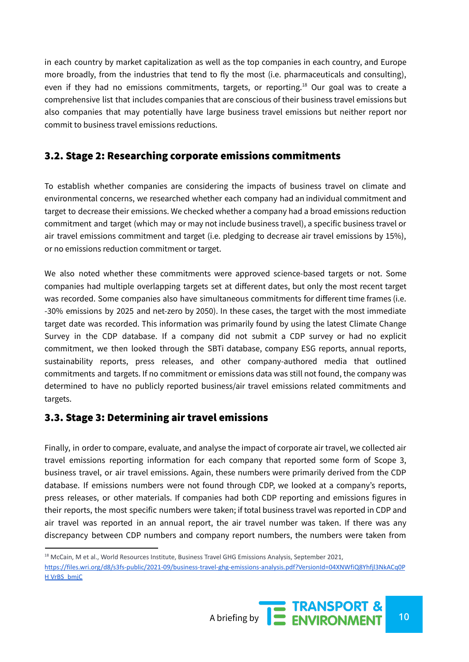in each country by market capitalization as well as the top companies in each country, and Europe more broadly, from the industries that tend to fly the most (i.e. pharmaceuticals and consulting), even if they had no emissions commitments, targets, or reporting.<sup>18</sup> Our goal was to create a comprehensive list that includes companies that are conscious of their business travel emissions but also companies that may potentially have large business travel emissions but neither report nor commit to business travel emissions reductions.

## <span id="page-9-0"></span>3.2. Stage 2: Researching corporate emissions commitments

To establish whether companies are considering the impacts of business travel on climate and environmental concerns, we researched whether each company had an individual commitment and target to decrease their emissions. We checked whether a company had a broad emissions reduction commitment and target (which may or may not include business travel), a specific business travel or air travel emissions commitment and target (i.e. pledging to decrease air travel emissions by 15%), or no emissions reduction commitment or target.

We also noted whether these commitments were approved science-based targets or not. Some companies had multiple overlapping targets set at different dates, but only the most recent target was recorded. Some companies also have simultaneous commitments for different time frames (i.e. -30% emissions by 2025 and net-zero by 2050). In these cases, the target with the most immediate target date was recorded. This information was primarily found by using the latest Climate Change Survey in the CDP database. If a company did not submit a CDP survey or had no explicit commitment, we then looked through the SBTi database, company ESG reports, annual reports, sustainability reports, press releases, and other company-authored media that outlined commitments and targets. If no commitment or emissions data was still not found, the company was determined to have no publicly reported business/air travel emissions related commitments and targets.

## <span id="page-9-1"></span>3.3. Stage 3: Determining air travel emissions

Finally, in order to compare, evaluate, and analyse the impact of corporate air travel, we collected air travel emissions reporting information for each company that reported some form of Scope 3, business travel, or air travel emissions. Again, these numbers were primarily derived from the CDP database. If emissions numbers were not found through CDP, we looked at a company's reports, press releases, or other materials. If companies had both CDP reporting and emissions figures in their reports, the most specific numbers were taken; if total business travel was reported in CDP and air travel was reported in an annual report, the air travel number was taken. If there was any discrepancy between CDP numbers and company report numbers, the numbers were taken from

<sup>&</sup>lt;sup>18</sup> McCain, M et al., World Resources Institute, Business Travel GHG Emissions Analysis, September 2021, [https://files.wri.org/d8/s3fs-public/2021-09/business-travel-ghg-emissions-analysis.pdf?VersionId=04XNWfiQ8Yhfjl3NkACq0P](https://files.wri.org/d8/s3fs-public/2021-09/business-travel-ghg-emissions-analysis.pdf?VersionId=04XNWfiQ8Yhfjl3NkACq0PHVrBS_bmjC) [H VrBS\\_bmjC](https://files.wri.org/d8/s3fs-public/2021-09/business-travel-ghg-emissions-analysis.pdf?VersionId=04XNWfiQ8Yhfjl3NkACq0PHVrBS_bmjC)

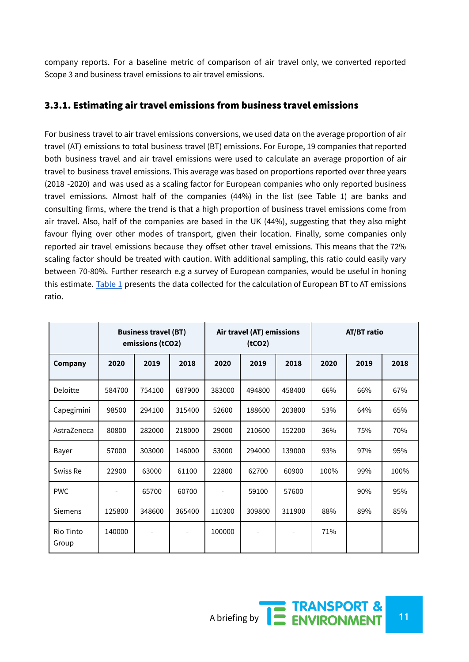company reports. For a baseline metric of comparison of air travel only, we converted reported Scope 3 and business travel emissions to air travel emissions.

## <span id="page-10-0"></span>3.3.1. Estimating air travel emissions from business travel emissions

For business travel to air travel emissions conversions, we used data on the average proportion of air travel (AT) emissions to total business travel (BT) emissions. For Europe, 19 companies that reported both business travel and air travel emissions were used to calculate an average proportion of air travel to business travel emissions. This average was based on proportions reported over three years (2018 -2020) and was used as a scaling factor for European companies who only reported business travel emissions. Almost half of the companies (44%) in the list (see Table 1) are banks and consulting firms, where the trend is that a high proportion of business travel emissions come from air travel. Also, half of the companies are based in the UK (44%), suggesting that they also might favour flying over other modes of transport, given their location. Finally, some companies only reported air travel emissions because they offset other travel emissions. This means that the 72% scaling factor should be treated with caution. With additional sampling, this ratio could easily vary between 70-80%. Further research e.g a survey of European companies, would be useful in honing this estimate. Table 1 presents the data collected for the calculation of European BT to AT emissions ratio.

|                    | <b>Business travel (BT)</b><br>emissions (tCO2) |        | Air travel (AT) emissions<br>(tCO2) |        |                          | <b>AT/BT ratio</b> |      |      |      |
|--------------------|-------------------------------------------------|--------|-------------------------------------|--------|--------------------------|--------------------|------|------|------|
| Company            | 2020                                            | 2019   | 2018                                | 2020   | 2019                     | 2018               | 2020 | 2019 | 2018 |
| Deloitte           | 584700                                          | 754100 | 687900                              | 383000 | 494800                   | 458400             | 66%  | 66%  | 67%  |
| Capegimini         | 98500                                           | 294100 | 315400                              | 52600  | 188600                   | 203800             | 53%  | 64%  | 65%  |
| AstraZeneca        | 80800                                           | 282000 | 218000                              | 29000  | 210600                   | 152200             | 36%  | 75%  | 70%  |
| Bayer              | 57000                                           | 303000 | 146000                              | 53000  | 294000                   | 139000             | 93%  | 97%  | 95%  |
| Swiss Re           | 22900                                           | 63000  | 61100                               | 22800  | 62700                    | 60900              | 100% | 99%  | 100% |
| <b>PWC</b>         |                                                 | 65700  | 60700                               |        | 59100                    | 57600              |      | 90%  | 95%  |
| <b>Siemens</b>     | 125800                                          | 348600 | 365400                              | 110300 | 309800                   | 311900             | 88%  | 89%  | 85%  |
| Rio Tinto<br>Group | 140000                                          |        |                                     | 100000 | $\overline{\phantom{a}}$ |                    | 71%  |      |      |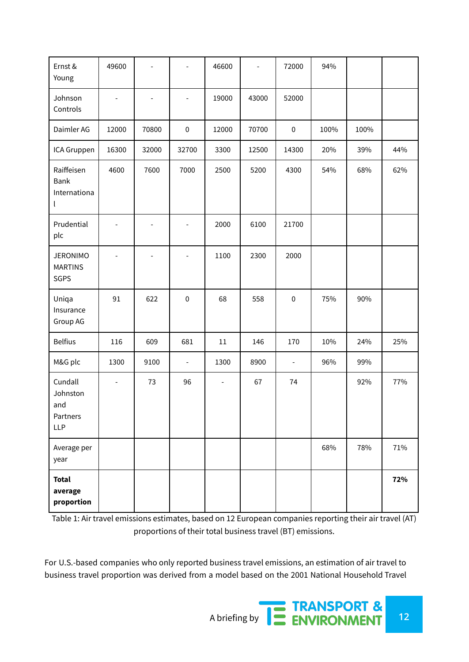| Ernst &<br>Young                                     | 49600                    |                          |                          | 46600                    |       | 72000          | 94%  |      |     |
|------------------------------------------------------|--------------------------|--------------------------|--------------------------|--------------------------|-------|----------------|------|------|-----|
| Johnson<br>Controls                                  | $\overline{\phantom{a}}$ | $\overline{\phantom{a}}$ | $\overline{\phantom{a}}$ | 19000                    | 43000 | 52000          |      |      |     |
| Daimler AG                                           | 12000                    | 70800                    | $\pmb{0}$                | 12000                    | 70700 | $\pmb{0}$      | 100% | 100% |     |
| ICA Gruppen                                          | 16300                    | 32000                    | 32700                    | 3300                     | 12500 | 14300          | 20%  | 39%  | 44% |
| Raiffeisen<br>Bank<br>Internationa<br>$\mathsf{L}$   | 4600                     | 7600                     | 7000                     | 2500                     | 5200  | 4300           | 54%  | 68%  | 62% |
| Prudential<br>plc                                    |                          |                          | L,                       | 2000                     | 6100  | 21700          |      |      |     |
| <b>JERONIMO</b><br><b>MARTINS</b><br>SGPS            |                          |                          | $\overline{\phantom{a}}$ | 1100                     | 2300  | 2000           |      |      |     |
| Uniqa<br>Insurance<br>Group AG                       | 91                       | 622                      | $\pmb{0}$                | 68                       | 558   | $\pmb{0}$      | 75%  | 90%  |     |
| <b>Belfius</b>                                       | 116                      | 609                      | 681                      | $11\,$                   | 146   | 170            | 10%  | 24%  | 25% |
| M&G plc                                              | 1300                     | 9100                     | $\overline{\phantom{a}}$ | 1300                     | 8900  | $\blacksquare$ | 96%  | 99%  |     |
| Cundall<br>Johnston<br>and<br>Partners<br><b>LLP</b> | $\overline{a}$           | 73                       | 96                       | $\overline{\phantom{a}}$ | 67    | 74             |      | 92%  | 77% |
| Average per<br>year                                  |                          |                          |                          |                          |       |                | 68%  | 78%  | 71% |
| <b>Total</b><br>average<br>proportion                |                          |                          |                          |                          |       |                |      |      | 72% |

Table 1: Air travel emissions estimates, based on 12 European companies reporting their air travel (AT) proportions of their total business travel (BT) emissions.

For U.S.-based companies who only reported business travel emissions, an estimation of air travel to business travel proportion was derived from a model based on the 2001 National Household Travel

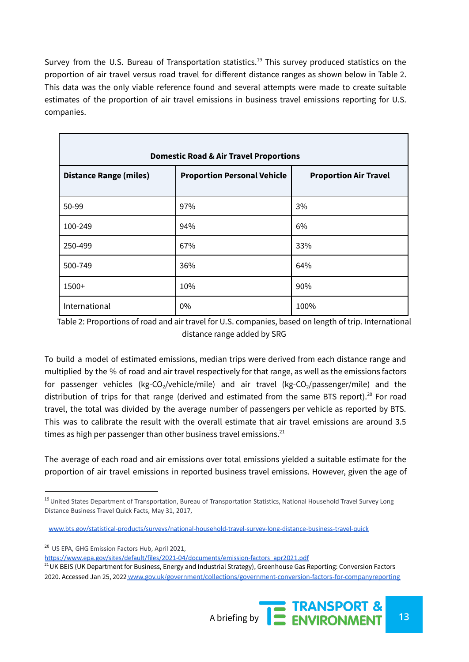Survey from the U.S. Bureau of Transportation statistics.<sup>19</sup> This survey produced statistics on the proportion of air travel versus road travel for different distance ranges as shown below in Table 2. This data was the only viable reference found and several attempts were made to create suitable estimates of the proportion of air travel emissions in business travel emissions reporting for U.S. companies.

| <b>Domestic Road &amp; Air Travel Proportions</b> |                                    |                              |  |  |  |  |  |
|---------------------------------------------------|------------------------------------|------------------------------|--|--|--|--|--|
| <b>Distance Range (miles)</b>                     | <b>Proportion Personal Vehicle</b> | <b>Proportion Air Travel</b> |  |  |  |  |  |
| 50-99                                             | 97%                                | 3%                           |  |  |  |  |  |
| 100-249                                           | 94%                                | 6%                           |  |  |  |  |  |
| 250-499                                           | 67%                                | 33%                          |  |  |  |  |  |
| 500-749                                           | 36%                                | 64%                          |  |  |  |  |  |
| $1500+$                                           | 10%                                | 90%                          |  |  |  |  |  |
| International                                     | $0\%$                              | 100%                         |  |  |  |  |  |

Table 2: Proportions of road and air travel for U.S. companies, based on length of trip. International distance range added by SRG

To build a model of estimated emissions, median trips were derived from each distance range and multiplied by the % of road and air travel respectively for that range, as well as the emissions factors for passenger vehicles (kg-CO<sub>2</sub>/vehicle/mile) and air travel (kg-CO<sub>2</sub>/passenger/mile) and the distribution of trips for that range (derived and estimated from the same BTS report).<sup>20</sup> For road travel, the total was divided by the average number of passengers per vehicle as reported by BTS. This was to calibrate the result with the overall estimate that air travel emissions are around 3.5 times as high per passenger than other business travel emissions. $^{21}$ 

The average of each road and air emissions over total emissions yielded a suitable estimate for the proportion of air travel emissions in reported business travel emissions. However, given the age of

<sup>20</sup> US EPA, GHG Emission Factors Hub, April 2021[,](https://www.epa.gov/sites/default/files/2021-04/documents/emission-factors_apr2021.pdf)

Г

[https://www.epa.gov/sites/default/files/2021-04/documents/emission-factors\\_apr2021.pdf](https://www.epa.gov/sites/default/files/2021-04/documents/emission-factors_apr2021.pdf)

<sup>21</sup> UK BEIS (UK Department for Business, Energy and Industrial Strategy), Greenhouse Gas Reporting: Conversion Factors 2020. Accessed Jan 25, 2022 [www.gov.uk/government/collections/government-conversion-factors-for-companyreporting](http://www.gov.uk/government/collections/government-conversion-factors-for-companyreporting)



<sup>&</sup>lt;sup>19</sup> United States Department of Transportation, Bureau of Transportation Statistics, National Household Travel Survey Long Distance Business Travel Quick Facts, May 31, 2017,

[www.bts.gov/statistical-products/surveys/national-household-travel-survey-long-distance-business-travel-quick](https://www.bts.gov/statistical-products/surveys/national-household-travel-survey-long-distance-business-travel-quick)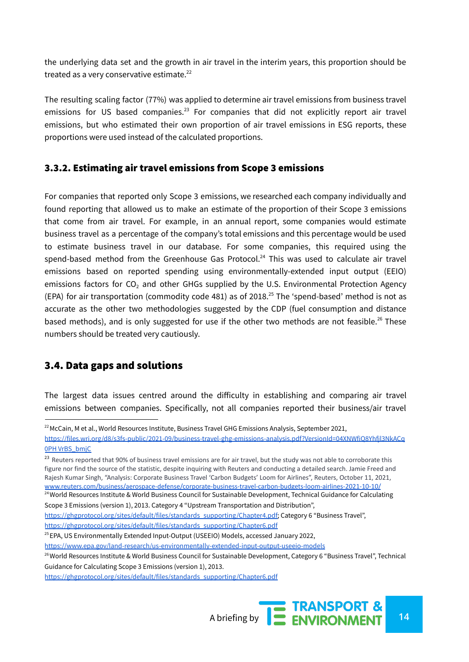the underlying data set and the growth in air travel in the interim years, this proportion should be treated as a very conservative estimate.<sup>22</sup>

The resulting scaling factor (77%) was applied to determine air travel emissions from business travel emissions for US based companies.<sup>23</sup> For companies that did not explicitly report air travel emissions, but who estimated their own proportion of air travel emissions in ESG reports, these proportions were used instead of the calculated proportions.

#### <span id="page-13-0"></span>3.3.2. Estimating air travel emissions from Scope 3 emissions

For companies that reported only Scope 3 emissions, we researched each company individually and found reporting that allowed us to make an estimate of the proportion of their Scope 3 emissions that come from air travel. For example, in an annual report, some companies would estimate business travel as a percentage of the company's total emissions and this percentage would be used to estimate business travel in our database. For some companies, this required using the spend-based method from the Greenhouse Gas Protocol.<sup>24</sup> This was used to calculate air travel emissions based on reported spending using environmentally-extended input output (EEIO) emissions factors for CO<sub>2</sub> and other GHGs supplied by the U.S. Environmental Protection Agency (EPA) for air transportation (commodity code 481) as of 2018. <sup>25</sup> The 'spend-based' method is not as accurate as the other two methodologies suggested by the CDP (fuel consumption and distance based methods), and is only suggested for use if the other two methods are not feasible.<sup>26</sup> These numbers should be treated very cautiously.

## <span id="page-13-1"></span>3.4. Data gaps and solutions

The largest data issues centred around the difficulty in establishing and comparing air travel emissions between companies. Specifically, not all companies reported their business/air travel

<sup>23</sup> Reuters reported that 90% of business travel emissions are for air travel, but the study was not able to corroborate this figure nor find the source of the statistic, despite inquiring with Reuters and conducting a detailed search. Jamie Freed and Rajesh Kumar Singh, "Analysis: Corporate Business Travel 'Carbon Budgets' Loom for Airlines", Reuters, October 11, 2021[,](https://www.reuters.com/business/aerospace-defense/corporate-business-travel-carbon-budgets-loom-airlines-2021-10-10/) [www.reuters.com/business/aerospace-defense/corporate-business-travel-carbon-budgets-loom-airlines-2021-10-10/](https://www.reuters.com/business/aerospace-defense/corporate-business-travel-carbon-budgets-loom-airlines-2021-10-10/)

<sup>25</sup> EPA, US Environmentally Extended Input-Output (USEEIO) Models, accessed January 2022,

 $22$ McCain, M et al., World Resources Institute, Business Travel GHG Emissions Analysis, September 2021,

[https://files.wri.org/d8/s3fs-public/2021-09/business-travel-ghg-emissions-analysis.pdf?VersionId=04XNWfiQ8Yhfjl3NkACq](https://files.wri.org/d8/s3fs-public/2021-09/business-travel-ghg-emissions-analysis.pdf?VersionId=04XNWfiQ8Yhfjl3NkACq0PHVrBS_bmjC) 0PH [VrBS\\_bmjC](https://files.wri.org/d8/s3fs-public/2021-09/business-travel-ghg-emissions-analysis.pdf?VersionId=04XNWfiQ8Yhfjl3NkACq0PHVrBS_bmjC)

<sup>&</sup>lt;sup>24</sup> World Resources Institute & World Business Council for Sustainable Development, Technical Guidance for Calculating Scope 3 Emissions (version 1), 2013. Category 4 "Upstream Transportation and Distribution"[,](https://ghgprotocol.org/sites/default/files/standards_supporting/Chapter4.pdf)

[https://ghgprotocol.org/sites/default/files/standards\\_supporting/Chapter4.pdf;](https://ghgprotocol.org/sites/default/files/standards_supporting/Chapter4.pdf) Category 6 "Business Travel",

[https://ghgprotocol.org/sites/default/files/standards\\_supporting/Chapter6.pdf](https://ghgprotocol.org/sites/default/files/standards_supporting/Chapter6.pdf)

<https://www.epa.gov/land-research/us-environmentally-extended-input-output-useeio-models>

<sup>&</sup>lt;sup>26</sup> World Resources Institute & World Business Council for Sustainable Development, Category 6 "Business Travel", Technical Guidance for Calculating Scope 3 Emissions (version 1), 2013.

[https://ghgprotocol.org/sites/default/files/standards\\_supporting/Chapter6.pdf](https://ghgprotocol.org/sites/default/files/standards_supporting/Chapter6.pdf)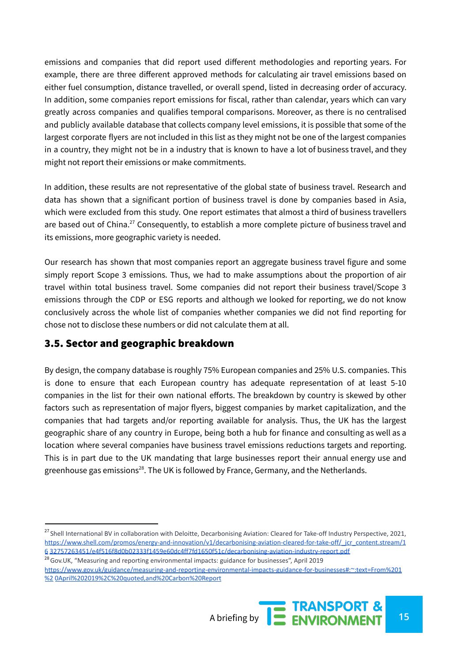emissions and companies that did report used different methodologies and reporting years. For example, there are three different approved methods for calculating air travel emissions based on either fuel consumption, distance travelled, or overall spend, listed in decreasing order of accuracy. In addition, some companies report emissions for fiscal, rather than calendar, years which can vary greatly across companies and qualifies temporal comparisons. Moreover, as there is no centralised and publicly available database that collects company level emissions, it is possible that some of the largest corporate flyers are not included in this list as they might not be one of the largest companies in a country, they might not be in a industry that is known to have a lot of business travel, and they might not report their emissions or make commitments.

In addition, these results are not representative of the global state of business travel. Research and data has shown that a significant portion of business travel is done by companies based in Asia, which were excluded from this study. One report estimates that almost a third of business travellers are based out of China.<sup>27</sup> Consequently, to establish a more complete picture of business travel and its emissions, more geographic variety is needed.

Our research has shown that most companies report an aggregate business travel figure and some simply report Scope 3 emissions. Thus, we had to make assumptions about the proportion of air travel within total business travel. Some companies did not report their business travel/Scope 3 emissions through the CDP or ESG reports and although we looked for reporting, we do not know conclusively across the whole list of companies whether companies we did not find reporting for chose not to disclose these numbers or did not calculate them at all.

## <span id="page-14-0"></span>3.5. Sector and geographic breakdown

By design, the company database is roughly 75% European companies and 25% U.S. companies. This is done to ensure that each European country has adequate representation of at least 5-10 companies in the list for their own national efforts. The breakdown by country is skewed by other factors such as representation of major flyers, biggest companies by market capitalization, and the companies that had targets and/or reporting available for analysis. Thus, the UK has the largest geographic share of any country in Europe, being both a hub for finance and consulting as well as a location where several companies have business travel emissions reductions targets and reporting. This is in part due to the UK mandating that large businesses report their annual energy use and greenhouse gas emissions<sup>28</sup>. The UK is followed by France, Germany, and the Netherlands.

<sup>&</sup>lt;sup>28</sup> Gov.UK, "Measuring and reporting environmental impacts: guidance for businesses", April 2019 [https://www.gov.uk/guidance/measuring-and-reporting-environmental-impacts-guidance-for-businesses#:~:text=From%201](https://www.gov.uk/guidance/measuring-and-reporting-environmental-impacts-guidance-for-businesses#%3A~%3Atext%3DFrom%201%20April%202019%2C%20quoted%2Cand%20Carbon%20Report) %2 [0April%202019%2C%20quoted,and%20Carbon%20Report](https://www.gov.uk/guidance/measuring-and-reporting-environmental-impacts-guidance-for-businesses#%3A~%3Atext%3DFrom%201%20April%202019%2C%20quoted%2Cand%20Carbon%20Report)



<sup>&</sup>lt;sup>27</sup> Shell International BV in collaboration with Deloitte[,](https://www.shell.com/promos/energy-and-innovation/v1/decarbonising-aviation-cleared-for-take-off/_jcr_content.stream/1632757263451/e4f516f8d0b02333f1459e60dc4ff7fd1650f51c/decarbonising-aviation-industry-report.pdf) Decarbonising Aviation: Cleared for Take-off Industry Perspective, 2021, [https://www.shell.com/promos/energy-and-innovation/v1/decarbonising-aviation-cleared-for-take-off/\\_jcr\\_content.stream/1](https://www.shell.com/promos/energy-and-innovation/v1/decarbonising-aviation-cleared-for-take-off/_jcr_content.stream/1632757263451/e4f516f8d0b02333f1459e60dc4ff7fd1650f51c/decarbonising-aviation-industry-report.pdf) 6 [32757263451/e4f516f8d0b02333f1459e60dc4ff7fd1650f51c/decarbonising-aviation-industry-report.pdf](https://www.shell.com/promos/energy-and-innovation/v1/decarbonising-aviation-cleared-for-take-off/_jcr_content.stream/1632757263451/e4f516f8d0b02333f1459e60dc4ff7fd1650f51c/decarbonising-aviation-industry-report.pdf)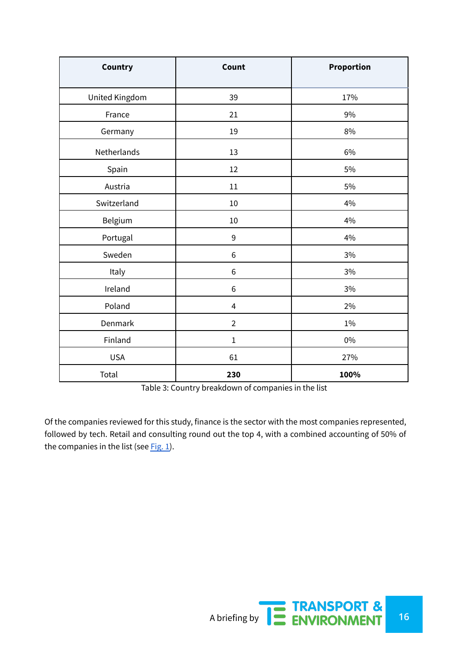| Country        | Count                   | Proportion |
|----------------|-------------------------|------------|
| United Kingdom | 39                      | 17%        |
| France         | 21                      | 9%         |
| Germany        | 19                      | 8%         |
| Netherlands    | 13                      | 6%         |
| Spain          | 12                      | 5%         |
| Austria        | $11\,$                  | 5%         |
| Switzerland    | 10                      | 4%         |
| Belgium        | 10                      | 4%         |
| Portugal       | 9                       | 4%         |
| Sweden         | 6                       | $3\%$      |
| Italy          | 6                       | $3\%$      |
| Ireland        | $\,6$                   | $3\%$      |
| Poland         | $\overline{\mathbf{4}}$ | 2%         |
| Denmark        | $\overline{2}$          | 1%         |
| Finland        | $\mathbf{1}$            | 0%         |
| <b>USA</b>     | 61                      | 27%        |
| Total          | 230                     | 100%       |

Table 3: Country breakdown of companies in the list

Of the companies reviewed for this study, finance is the sector with the most companies represented, followed by tech. Retail and consulting round out the top 4, with a combined accounting of 50% of the companies in the list (see  $Fig. 1$ ).

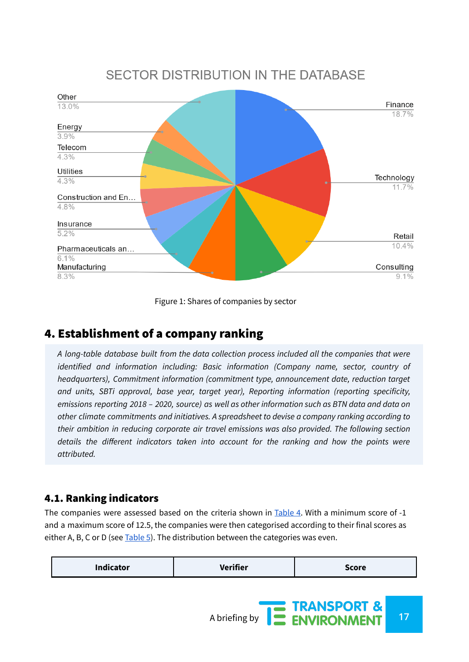# **SECTOR DISTRIBUTION IN THE DATABASE**



Figure 1: Shares of companies by sector

# <span id="page-16-0"></span>4. Establishment of a company ranking

*A long-table database built from the data collection process included all the companies that were identified and information including: Basic information (Company name, sector, country of headquarters), Commitment information (commitment type, announcement date, reduction target and units, SBTi approval, base year, target year), Reporting information (reporting specificity, emissions reporting 2018 – 2020, source) as well as other information such as BTN data and data on other climate commitments and initiatives. A spreadsheet to devise a company ranking according to their ambition in reducing corporate air travel emissions was also provided. The following section details the different indicators taken into account for the ranking and how the points were attributed.*

## <span id="page-16-1"></span>4.1. Ranking indicators

The companies were assessed based on the criteria shown in Table 4. With a minimum score of -1 and a maximum score of 12.5, the companies were then categorised according to their final scores as either A, B, C or D (see  $Table 5$ ). The distribution between the categories was even.

| <b>Indicator</b> | Verifier | <b>Score</b> |  |
|------------------|----------|--------------|--|
|                  |          |              |  |

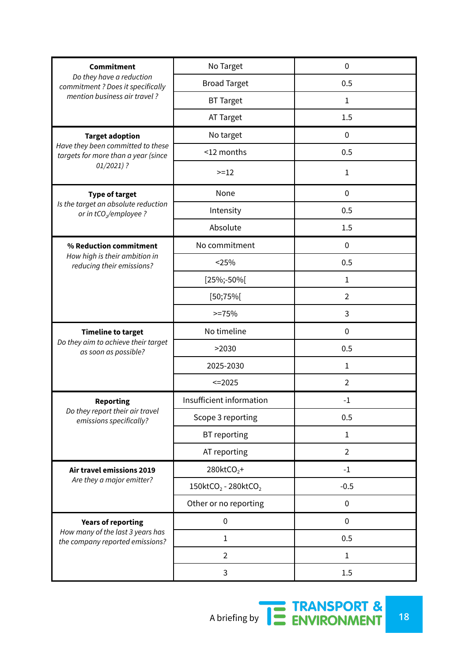| Commitment                                                                | No Target                                   | $\mathbf 0$    |
|---------------------------------------------------------------------------|---------------------------------------------|----------------|
| Do they have a reduction<br>commitment ? Does it specifically             | <b>Broad Target</b>                         | 0.5            |
| mention business air travel?                                              | <b>BT Target</b>                            | 1              |
|                                                                           | AT Target                                   | 1.5            |
| <b>Target adoption</b>                                                    | No target                                   | $\mathbf 0$    |
| Have they been committed to these<br>targets for more than a year (since  | <12 months                                  | 0.5            |
| $01/2021$ ?                                                               | $>=12$                                      | $\mathbf{1}$   |
| <b>Type of target</b>                                                     | None                                        | $\mathbf 0$    |
| Is the target an absolute reduction<br>or in tCO <sub>2</sub> /employee ? | Intensity                                   | 0.5            |
|                                                                           | Absolute                                    | 1.5            |
| % Reduction commitment                                                    | No commitment                               | $\mathbf 0$    |
| How high is their ambition in<br>reducing their emissions?                | < 25%                                       | 0.5            |
|                                                                           | $[25\%; -50\%]$                             | 1              |
|                                                                           | [50;75%]                                    | $\overline{2}$ |
|                                                                           | $>=75%$                                     | 3              |
| <b>Timeline to target</b>                                                 | No timeline                                 | 0              |
| Do they aim to achieve their target<br>as soon as possible?               | >2030                                       | 0.5            |
|                                                                           | 2025-2030                                   | 1              |
|                                                                           | $=2025$                                     | $\overline{2}$ |
| <b>Reporting</b>                                                          | Insufficient information                    | $-1$           |
| Do they report their air travel<br>emissions specifically?                | Scope 3 reporting                           | 0.5            |
|                                                                           | BT reporting                                | $\mathbf{1}$   |
|                                                                           | AT reporting                                | $\overline{2}$ |
| Air travel emissions 2019                                                 | $280$ ktCO <sub>2</sub> +                   | $-1$           |
| Are they a major emitter?                                                 | 150ktCO <sub>2</sub> - 280ktCO <sub>2</sub> | $-0.5$         |
|                                                                           | Other or no reporting                       | $\pmb{0}$      |
| <b>Years of reporting</b>                                                 | $\pmb{0}$                                   | $\mathbf 0$    |
| How many of the last 3 years has<br>the company reported emissions?       | $\mathbf{1}$                                | 0.5            |
|                                                                           | $\overline{2}$                              | $\mathbf 1$    |
|                                                                           | 3                                           | 1.5            |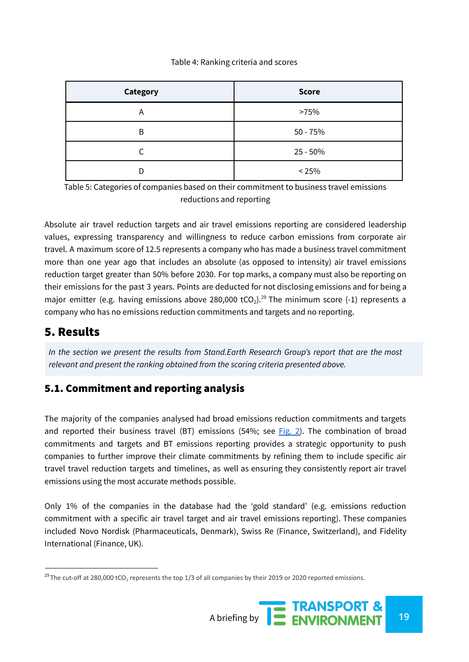#### Table 4: Ranking criteria and scores

| <b>Category</b> | <b>Score</b> |
|-----------------|--------------|
| А               | >75%         |
| B               | $50 - 75%$   |
|                 | $25 - 50%$   |
| D               | < 25%        |

Table 5: Categories of companies based on their commitment to business travel emissions reductions and reporting

Absolute air travel reduction targets and air travel emissions reporting are considered leadership values, expressing transparency and willingness to reduce carbon emissions from corporate air travel. A maximum score of 12.5 represents a company who has made a business travel commitment more than one year ago that includes an absolute (as opposed to intensity) air travel emissions reduction target greater than 50% before 2030. For top marks, a company must also be reporting on their emissions for the past 3 years. Points are deducted for not disclosing emissions and for being a major emitter (e.g. having emissions above 280,000 tCO<sub>2</sub>).<sup>29</sup> The minimum score (-1) represents a company who has no emissions reduction commitments and targets and no reporting.

## <span id="page-18-0"></span>5. Results

*In the section we present the results from Stand.Earth Research Group's report that are the most relevant and present the ranking obtained from the scoring criteria presented above.*

## <span id="page-18-1"></span>5.1. Commitment and reporting analysis

The majority of the companies analysed had broad emissions reduction commitments and targets and reported their business travel (BT) emissions (54%; see  $Fig. 2$ ). The combination of broad commitments and targets and BT emissions reporting provides a strategic opportunity to push companies to further improve their climate commitments by refining them to include specific air travel travel reduction targets and timelines, as well as ensuring they consistently report air travel emissions using the most accurate methods possible.

Only 1% of the companies in the database had the 'gold standard' (e.g. emissions reduction commitment with a specific air travel target and air travel emissions reporting). These companies included Novo Nordisk (Pharmaceuticals, Denmark), Swiss Re (Finance, Switzerland), and Fidelity International (Finance, UK).

<sup>&</sup>lt;sup>29</sup> The cut-off at 280,000 tCO<sub>2</sub> represents the top 1/3 of all companies by their 2019 or 2020 reported emissions.

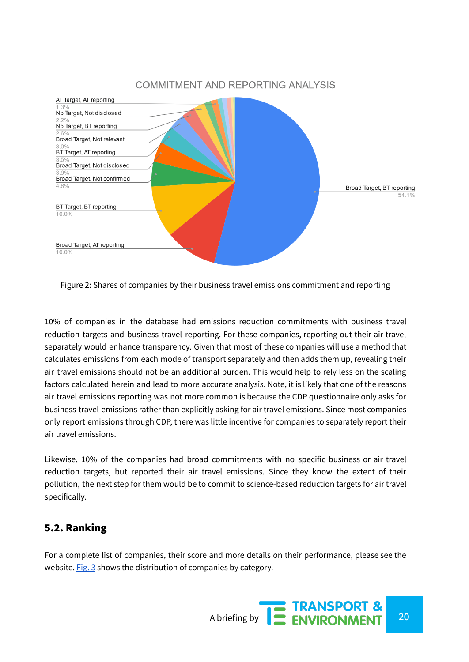

Figure 2: Shares of companies by their business travel emissions commitment and reporting

10% of companies in the database had emissions reduction commitments with business travel reduction targets and business travel reporting. For these companies, reporting out their air travel

separately would enhance transparency. Given that most of these companies will use a method that calculates emissions from each mode of transport separately and then adds them up, revealing their air travel emissions should not be an additional burden. This would help to rely less on the scaling factors calculated herein and lead to more accurate analysis. Note, it is likely that one of the reasons air travel emissions reporting was not more common is because the CDP questionnaire only asks for business travel emissions rather than explicitly asking for air travel emissions. Since most companies only report emissions through CDP, there was little incentive for companies to separately report their air travel emissions.

Likewise, 10% of the companies had broad commitments with no specific business or air travel reduction targets, but reported their air travel emissions. Since they know the extent of their pollution, the next step for them would be to commit to science-based reduction targets for air travel specifically.

## <span id="page-19-0"></span>5.2. Ranking

For a complete list of companies, their score and more details on their performance, please see the website. Fig. 3 shows the distribution of companies by category.

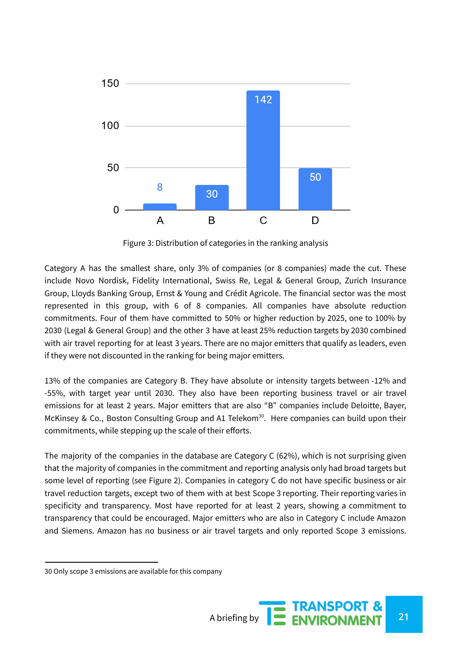

Figure 3: Distribution of categories in the ranking analysis

Category A has the smallest share, only 3% of companies (or 8 companies) made the cut. These include Novo Nordisk, Fidelity International, Swiss Re, Legal & General Group, Zurich Insurance Group, Lloyds Banking Group, Ernst & Young and Crédit Agricole. The financial sector was the most represented in this group, with 6 of 8 companies. All companies have absolute reduction commitments. Four of them have committed to 50% or higher reduction by 2025, one to 100% by 2030 (Legal & General Group) and the other 3 have at least 25% reduction targets by 2030 combined with air travel reporting for at least 3 years. There are no major emitters that qualify as leaders, even if they were not discounted in the ranking for being major emitters.

13% of the companies are Category B. They have absolute or intensity targets between -12% and -55%, with target year until 2030. They also have been reporting business travel or air travel emissions for at least 2 years. Major emitters that are also "B" companies include Deloitte, Bayer, McKinsey & Co., Boston Consulting Group and A1 Telekom<sup>30</sup>. Here companies can build upon their commitments, while stepping up the scale of their efforts.

The majority of the companies in the database are Category C (62%), which is not surprising given that the majority of companies in the commitment and reporting analysis only had broad targets but some level of reporting (see Figure 2). Companies in category C do not have specific business or air travel reduction targets, except two of them with at best Scope 3 reporting. Their reporting varies in specificity and transparency. Most have reported for at least 2 years, showing a commitment to transparency that could be encouraged. Major emitters who are also in Category C include Amazon and Siemens. Amazon has no business or air travel targets and only reported Scope 3 emissions.

<sup>30</sup> Only scope 3 emissions are available for this company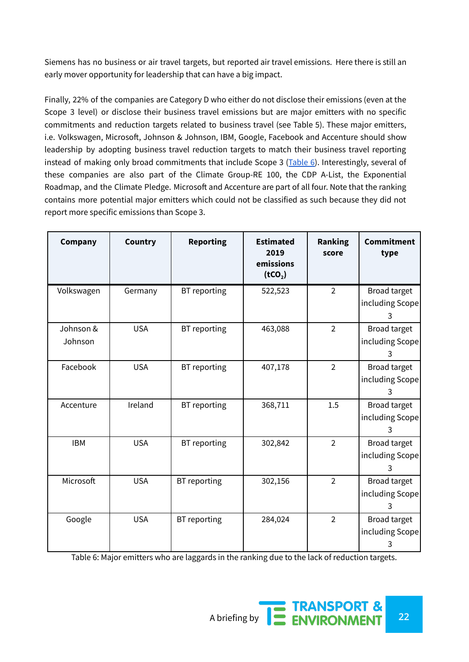Siemens has no business or air travel targets, but reported air travel emissions. Here there is still an early mover opportunity for leadership that can have a big impact.

Finally, 22% of the companies are Category D who either do not disclose their emissions (even at the Scope 3 level) or disclose their business travel emissions but are major emitters with no specific commitments and reduction targets related to business travel (see Table 5). These major emitters, i.e. Volkswagen, Microsoft, Johnson & Johnson, IBM, Google, Facebook and Accenture should show leadership by adopting business travel reduction targets to match their business travel reporting instead of making only broad commitments that include Scope 3 (Table 6). Interestingly, several of these companies are also part of the Climate Group-RE 100, the CDP A-List, the Exponential Roadmap, and the Climate Pledge. Microsoft and Accenture are part of all four. Note that the ranking contains more potential major emitters which could not be classified as such because they did not report more specific emissions than Scope 3.

| <b>Company</b>       | Country    | <b>Reporting</b> | <b>Estimated</b><br>2019<br>emissions<br>(tCO <sub>2</sub> ) | <b>Ranking</b><br>score | <b>Commitment</b><br>type            |
|----------------------|------------|------------------|--------------------------------------------------------------|-------------------------|--------------------------------------|
| Volkswagen           | Germany    | BT reporting     | 522,523                                                      | $\overline{2}$          | Broad target<br>including Scope<br>3 |
| Johnson &<br>Johnson | <b>USA</b> | BT reporting     | 463,088                                                      | $\overline{2}$          | Broad target<br>including Scope<br>3 |
| Facebook             | <b>USA</b> | BT reporting     | 407,178                                                      | $\overline{2}$          | Broad target<br>including Scope<br>3 |
| Accenture            | Ireland    | BT reporting     | 368,711                                                      | 1.5                     | Broad target<br>including Scope<br>3 |
| <b>IBM</b>           | <b>USA</b> | BT reporting     | 302,842                                                      | $\overline{2}$          | Broad target<br>including Scope<br>3 |
| Microsoft            | <b>USA</b> | BT reporting     | 302,156                                                      | $\overline{2}$          | Broad target<br>including Scope<br>3 |
| Google               | <b>USA</b> | BT reporting     | 284,024                                                      | $\overline{2}$          | Broad target<br>including Scope<br>3 |

Table 6: Major emitters who are laggards in the ranking due to the lack of reduction targets.